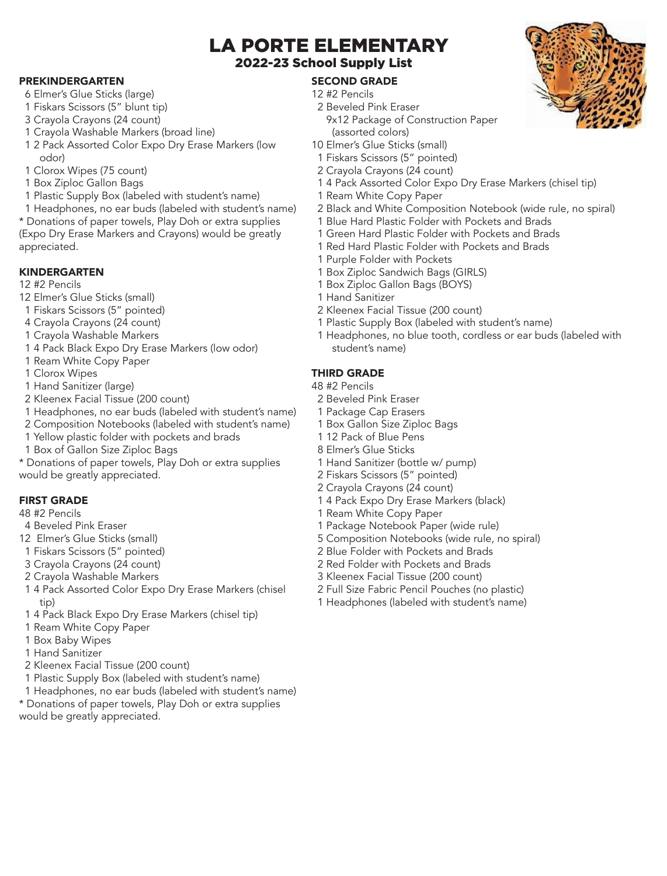# LA PORTE ELEMENTARY 2022-23 School Supply List

### PREKINDERGARTEN

- 6 Elmer's Glue Sticks (large)
- 1 Fiskars Scissors (5" blunt tip)
- 3 Crayola Crayons (24 count)
- 1 Crayola Washable Markers (broad line)
- 1 2 Pack Assorted Color Expo Dry Erase Markers (low odor)
- 1 Clorox Wipes (75 count)
- 1 Box Ziploc Gallon Bags
- 1 Plastic Supply Box (labeled with student's name)
- 1 Headphones, no ear buds (labeled with student's name)

\* Donations of paper towels, Play Doh or extra supplies (Expo Dry Erase Markers and Crayons) would be greatly appreciated.

### KINDERGARTEN

12 #2 Pencils

- 12 Elmer's Glue Sticks (small)
- 1 Fiskars Scissors (5" pointed)
- 4 Crayola Crayons (24 count)
- 1 Crayola Washable Markers
- 1 4 Pack Black Expo Dry Erase Markers (low odor)
- 1 Ream White Copy Paper
- 1 Clorox Wipes
- 1 Hand Sanitizer (large)
- 2 Kleenex Facial Tissue (200 count)
- 1 Headphones, no ear buds (labeled with student's name)
- 2 Composition Notebooks (labeled with student's name)
- 1 Yellow plastic folder with pockets and brads
- 1 Box of Gallon Size Ziploc Bags
- \* Donations of paper towels, Play Doh or extra supplies would be greatly appreciated.

# FIRST GRADE

- 48 #2 Pencils
- 4 Beveled Pink Eraser
- 12 Elmer's Glue Sticks (small)
- 1 Fiskars Scissors (5" pointed)
- 3 Crayola Crayons (24 count)
- 2 Crayola Washable Markers
- 1 4 Pack Assorted Color Expo Dry Erase Markers (chisel tip)
- 1 4 Pack Black Expo Dry Erase Markers (chisel tip)
- 1 Ream White Copy Paper
- 1 Box Baby Wipes
- 1 Hand Sanitizer
- 2 Kleenex Facial Tissue (200 count)
- 1 Plastic Supply Box (labeled with student's name)
- 1 Headphones, no ear buds (labeled with student's name)
- \* Donations of paper towels, Play Doh or extra supplies would be greatly appreciated.
- SECOND GRADE 12 #2 Pencils
	- 2 Beveled Pink Eraser 9x12 Package of Construction Paper
- (assorted colors) 10 Elmer's Glue Sticks (small)
- 1 Fiskars Scissors (5" pointed)
- 2 Crayola Crayons (24 count)
- 1 4 Pack Assorted Color Expo Dry Erase Markers (chisel tip)
- 1 Ream White Copy Paper
- 2 Black and White Composition Notebook (wide rule, no spiral)
- 1 Blue Hard Plastic Folder with Pockets and Brads
- 1 Green Hard Plastic Folder with Pockets and Brads
- 1 Red Hard Plastic Folder with Pockets and Brads
- 1 Purple Folder with Pockets
- 1 Box Ziploc Sandwich Bags (GIRLS)
- 1 Box Ziploc Gallon Bags (BOYS)
- 1 Hand Sanitizer
- 2 Kleenex Facial Tissue (200 count)
- 1 Plastic Supply Box (labeled with student's name)
- 1 Headphones, no blue tooth, cordless or ear buds (labeled with student's name)

# THIRD GRADE

- 48 #2 Pencils
- 2 Beveled Pink Eraser
- 1 Package Cap Erasers
- 1 Box Gallon Size Ziploc Bags
- 1 12 Pack of Blue Pens
- 8 Elmer's Glue Sticks
- 1 Hand Sanitizer (bottle w/ pump)
- 2 Fiskars Scissors (5" pointed)
- 2 Crayola Crayons (24 count)
- 1 4 Pack Expo Dry Erase Markers (black)
- 1 Ream White Copy Paper
- 1 Package Notebook Paper (wide rule)
- 5 Composition Notebooks (wide rule, no spiral)
- 2 Blue Folder with Pockets and Brads
- 2 Red Folder with Pockets and Brads
- 3 Kleenex Facial Tissue (200 count)
- 2 Full Size Fabric Pencil Pouches (no plastic)
- 1 Headphones (labeled with student's name)